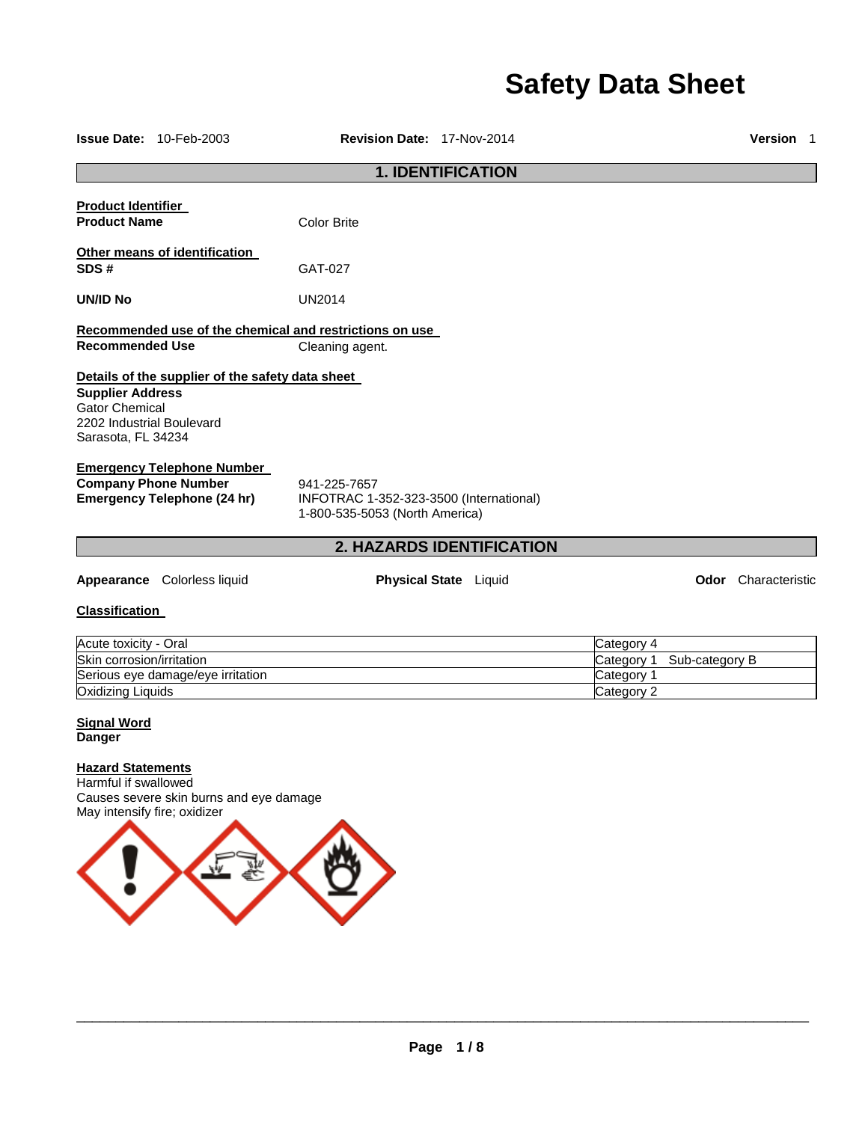# **Safety Data Sheet**

| <b>Issue Date: 10-Feb-2003</b>                                                                                                                          | Revision Date: 17-Nov-2014                                                                |                              |            |                | Version 1                  |
|---------------------------------------------------------------------------------------------------------------------------------------------------------|-------------------------------------------------------------------------------------------|------------------------------|------------|----------------|----------------------------|
|                                                                                                                                                         |                                                                                           | <b>1. IDENTIFICATION</b>     |            |                |                            |
| <b>Product Identifier</b><br><b>Product Name</b>                                                                                                        | <b>Color Brite</b>                                                                        |                              |            |                |                            |
| Other means of identification<br>SDS#                                                                                                                   | GAT-027                                                                                   |                              |            |                |                            |
| UN/ID No                                                                                                                                                | <b>UN2014</b>                                                                             |                              |            |                |                            |
|                                                                                                                                                         | Recommended use of the chemical and restrictions on use                                   |                              |            |                |                            |
| <b>Recommended Use</b>                                                                                                                                  | Cleaning agent.                                                                           |                              |            |                |                            |
| Details of the supplier of the safety data sheet<br><b>Supplier Address</b><br><b>Gator Chemical</b><br>2202 Industrial Boulevard<br>Sarasota, FL 34234 |                                                                                           |                              |            |                |                            |
| <b>Emergency Telephone Number</b><br><b>Company Phone Number</b><br><b>Emergency Telephone (24 hr)</b>                                                  | 941-225-7657<br>INFOTRAC 1-352-323-3500 (International)<br>1-800-535-5053 (North America) |                              |            |                |                            |
|                                                                                                                                                         |                                                                                           | 2. HAZARDS IDENTIFICATION    |            |                |                            |
| Appearance Colorless liquid                                                                                                                             |                                                                                           | <b>Physical State</b> Liquid |            |                | <b>Odor</b> Characteristic |
| <b>Classification</b>                                                                                                                                   |                                                                                           |                              |            |                |                            |
| Acute toxicity - Oral                                                                                                                                   |                                                                                           |                              | Category 4 |                |                            |
| Skin corrosion/irritation                                                                                                                               |                                                                                           |                              | Category 1 | Sub-category B |                            |
| Serious eye damage/eye irritation                                                                                                                       |                                                                                           |                              | Category 1 |                |                            |
| Oxidizing Liquids                                                                                                                                       |                                                                                           |                              | Category 2 |                |                            |
| <b>Signal Word</b><br><b>Danger</b>                                                                                                                     |                                                                                           |                              |            |                |                            |
| <b>Hazard Statements</b><br>Harmful if swallowed<br>Causes severe skin burns and eye damage<br>May intensify fire; oxidizer                             |                                                                                           |                              |            |                |                            |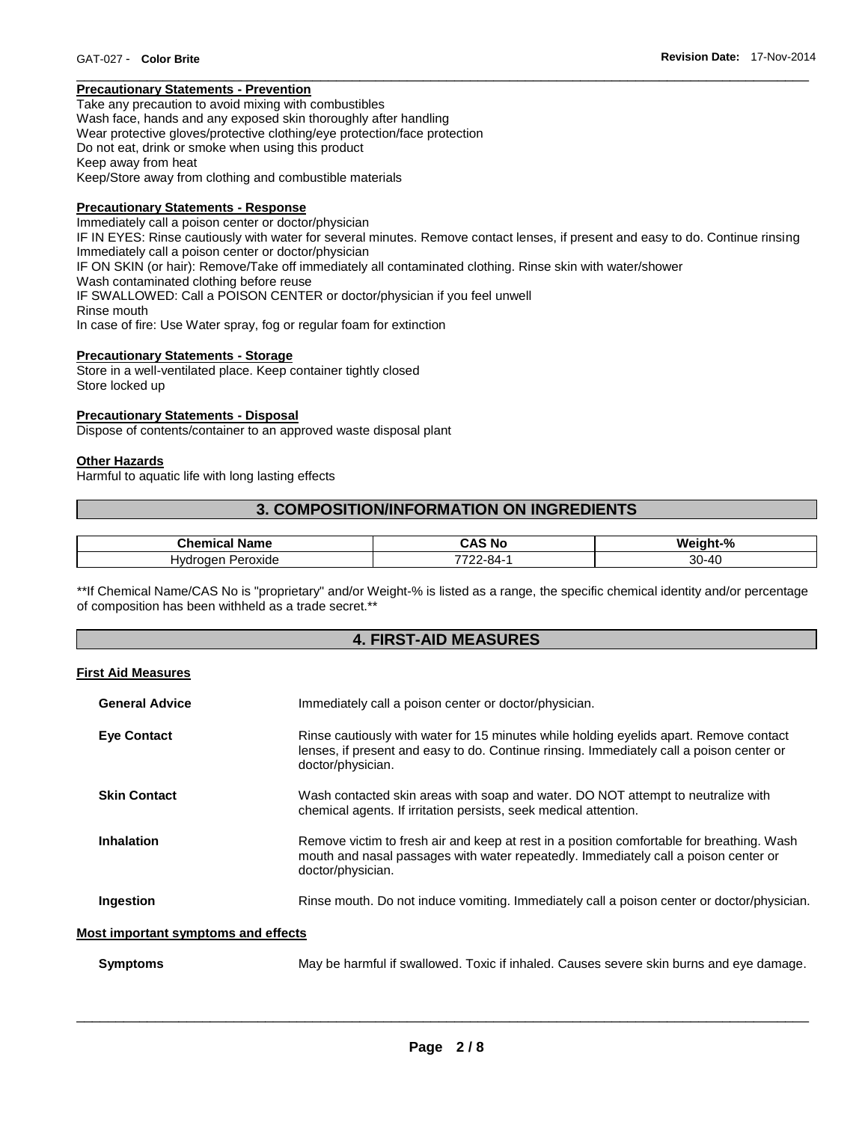# **Precautionary Statements - Prevention**

Take any precaution to avoid mixing with combustibles Wash face, hands and any exposed skin thoroughly after handling Wear protective gloves/protective clothing/eye protection/face protection Do not eat, drink or smoke when using this product Keep away from heat Keep/Store away from clothing and combustible materials

# **Precautionary Statements - Response**

Immediately call a poison center or doctor/physician IF IN EYES: Rinse cautiously with water for several minutes. Remove contact lenses, if present and easy to do. Continue rinsing Immediately call a poison center or doctor/physician IF ON SKIN (or hair): Remove/Take off immediately all contaminated clothing. Rinse skin with water/shower Wash contaminated clothing before reuse IF SWALLOWED: Call a POISON CENTER or doctor/physician if you feel unwell Rinse mouth In case of fire: Use Water spray, fog or regular foam for extinction

\_\_\_\_\_\_\_\_\_\_\_\_\_\_\_\_\_\_\_\_\_\_\_\_\_\_\_\_\_\_\_\_\_\_\_\_\_\_\_\_\_\_\_\_\_\_\_\_\_\_\_\_\_\_\_\_\_\_\_\_\_\_\_\_\_\_\_\_\_\_\_\_\_\_\_\_\_\_\_\_\_\_\_\_\_\_\_\_\_\_\_\_\_

# **Precautionary Statements - Storage**

Store in a well-ventilated place. Keep container tightly closed Store locked up

# **Precautionary Statements - Disposal**

Dispose of contents/container to an approved waste disposal plant

# **Other Hazards**

Harmful to aquatic life with long lasting effects

# **3. COMPOSITION/INFORMATION ON INGREDIENTS**

| . .<br>Chemica<br>Name    | .<br>CAS<br>. Nc | riaht-%<br>W۵ |
|---------------------------|------------------|---------------|
| lvdro<br>Peroxide<br>naen | ⇁⌒⌒<br>2-84-     | ა∪-4∩         |

\*\*If Chemical Name/CAS No is "proprietary" and/or Weight-% is listed as a range, the specific chemical identity and/or percentage of composition has been withheld as a trade secret.\*\*

# **4. FIRST-AID MEASURES**

# **First Aid Measures**

| <b>General Advice</b>                      | Immediately call a poison center or doctor/physician.                                                                                                                                                   |  |  |
|--------------------------------------------|---------------------------------------------------------------------------------------------------------------------------------------------------------------------------------------------------------|--|--|
| <b>Eve Contact</b>                         | Rinse cautiously with water for 15 minutes while holding eyelids apart. Remove contact<br>lenses, if present and easy to do. Continue rinsing. Immediately call a poison center or<br>doctor/physician. |  |  |
| <b>Skin Contact</b>                        | Wash contacted skin areas with soap and water. DO NOT attempt to neutralize with<br>chemical agents. If irritation persists, seek medical attention.                                                    |  |  |
| <b>Inhalation</b>                          | Remove victim to fresh air and keep at rest in a position comfortable for breathing. Wash<br>mouth and nasal passages with water repeatedly. Immediately call a poison center or<br>doctor/physician.   |  |  |
| Ingestion                                  | Rinse mouth. Do not induce vomiting. Immediately call a poison center or doctor/physician.                                                                                                              |  |  |
| <b>Most important symptoms and effects</b> |                                                                                                                                                                                                         |  |  |
| <b>Symptoms</b>                            | May be harmful if swallowed. Toxic if inhaled. Causes severe skin burns and eye damage.                                                                                                                 |  |  |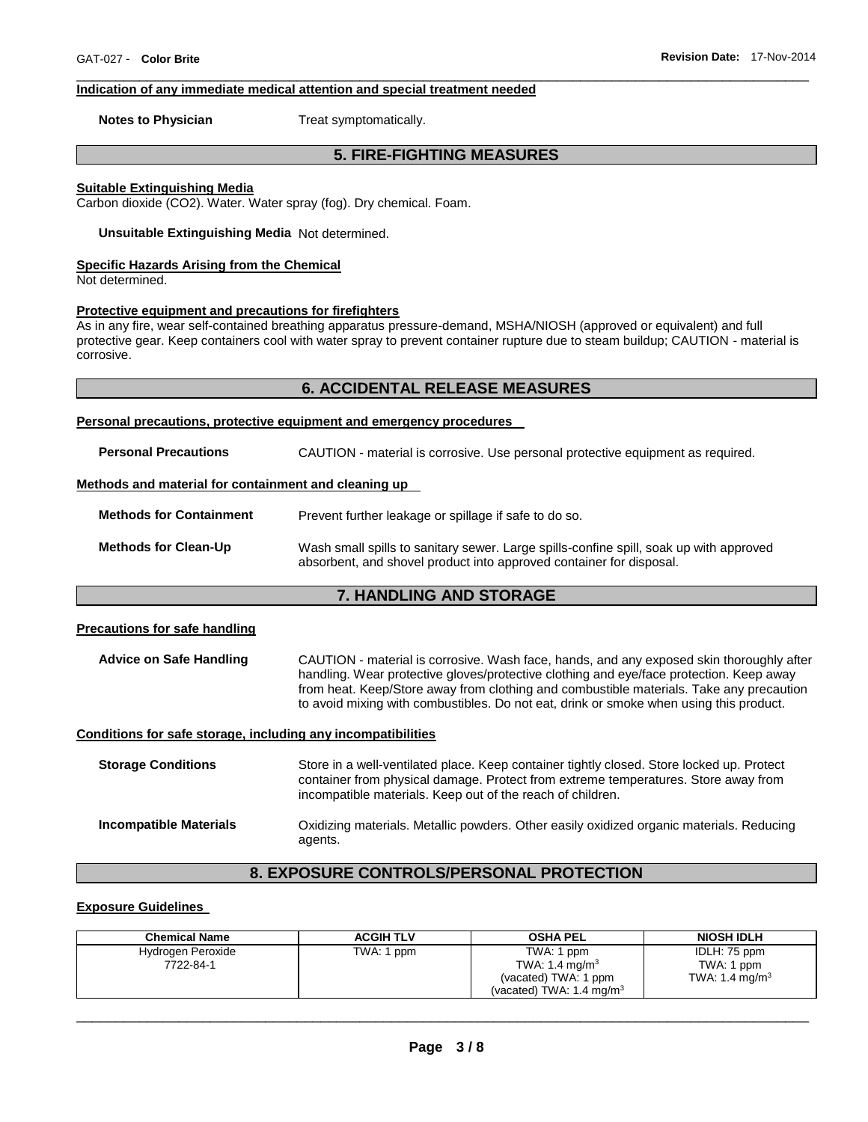# **Indication of any immediate medical attention and special treatment needed**

**Notes to Physician**  Treat symptomatically.

# **5. FIRE-FIGHTING MEASURES**

\_\_\_\_\_\_\_\_\_\_\_\_\_\_\_\_\_\_\_\_\_\_\_\_\_\_\_\_\_\_\_\_\_\_\_\_\_\_\_\_\_\_\_\_\_\_\_\_\_\_\_\_\_\_\_\_\_\_\_\_\_\_\_\_\_\_\_\_\_\_\_\_\_\_\_\_\_\_\_\_\_\_\_\_\_\_\_\_\_\_\_\_\_

# **Suitable Extinguishing Media**

Carbon dioxide (CO2). Water. Water spray (fog). Dry chemical. Foam.

**Unsuitable Extinguishing Media** Not determined.

# **Specific Hazards Arising from the Chemical**

Not determined.

# **Protective equipment and precautions for firefighters**

As in any fire, wear self-contained breathing apparatus pressure-demand, MSHA/NIOSH (approved or equivalent) and full protective gear. Keep containers cool with water spray to prevent container rupture due to steam buildup; CAUTION - material is corrosive.

# **6. ACCIDENTAL RELEASE MEASURES**

# **Personal precautions, protective equipment and emergency procedures**

| <b>Personal Precautions</b>                          | CAUTION - material is corrosive. Use personal protective equipment as required.                                                                               |
|------------------------------------------------------|---------------------------------------------------------------------------------------------------------------------------------------------------------------|
| Methods and material for containment and cleaning up |                                                                                                                                                               |
| <b>Methods for Containment</b>                       | Prevent further leakage or spillage if safe to do so.                                                                                                         |
| <b>Methods for Clean-Up</b>                          | Wash small spills to sanitary sewer. Large spills-confine spill, soak up with approved<br>absorbent, and shovel product into approved container for disposal. |

# **7. HANDLING AND STORAGE**

# **Precautions for safe handling**

**Advice on Safe Handling** CAUTION - material is corrosive. Wash face, hands, and any exposed skin thoroughly after handling. Wear protective gloves/protective clothing and eye/face protection. Keep away from heat. Keep/Store away from clothing and combustible materials. Take any precaution to avoid mixing with combustibles. Do not eat, drink or smoke when using this product.

# **Conditions for safe storage, including any incompatibilities**

**Storage Conditions** Store in a well-ventilated place. Keep container tightly closed. Store locked up. Protect container from physical damage. Protect from extreme temperatures. Store away from incompatible materials. Keep out of the reach of children. **Incompatible Materials** Oxidizing materials. Metallic powders. Other easily oxidized organic materials. Reducing agents.

# **8. EXPOSURE CONTROLS/PERSONAL PROTECTION**

# **Exposure Guidelines**

| <b>Chemical Name</b>           | <b>ACGIH TLV</b> | <b>OSHA PEL</b>                                                                                         | <b>NIOSH IDLH</b>                                        |
|--------------------------------|------------------|---------------------------------------------------------------------------------------------------------|----------------------------------------------------------|
| Hydrogen Peroxide<br>7722-84-1 | TWA: 1 ppm       | TWA: 1 ppm<br>TWA: 1.4 mg/m <sup>3</sup><br>(vacated) TWA: 1 ppm<br>(vacated) TWA: $1.4 \text{ mg/m}^3$ | IDLH: 75 ppm<br>TWA: 1 ppm<br>TWA: 1.4 mg/m <sup>3</sup> |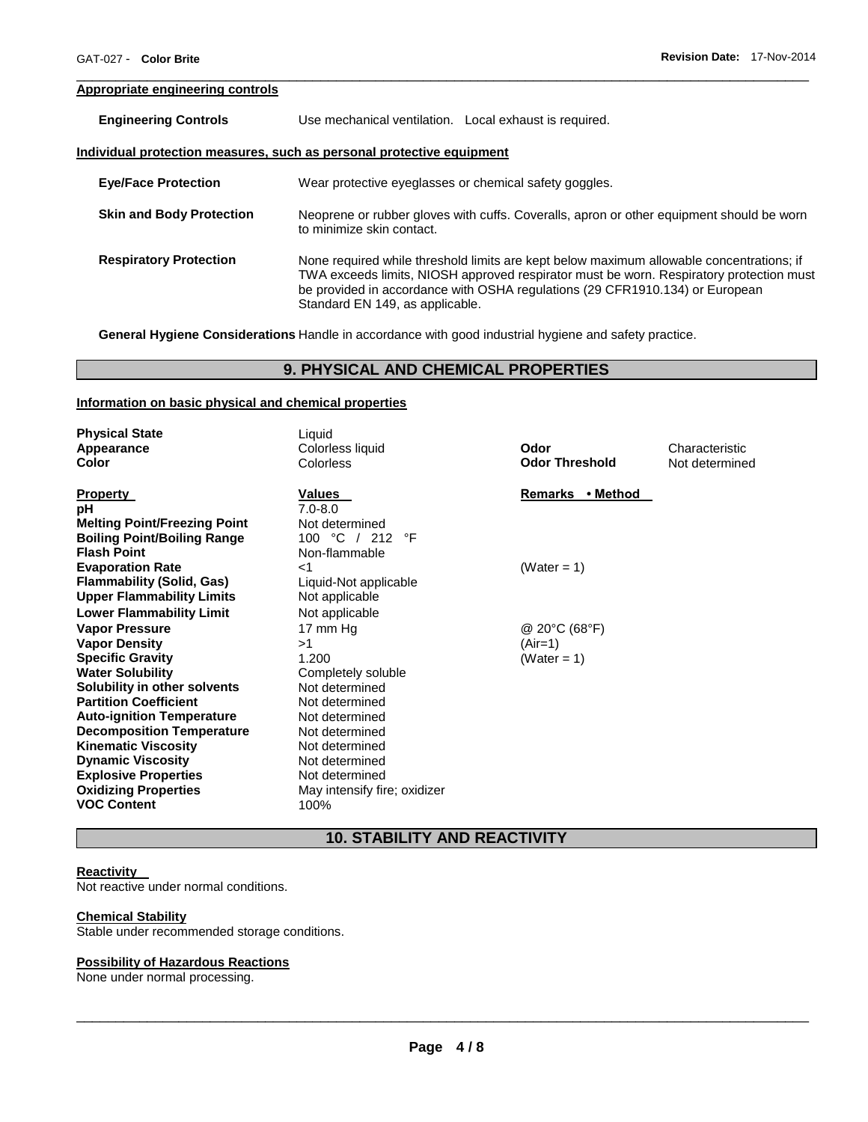# **Appropriate engineering controls**

| <b>Engineering Controls</b>     | Use mechanical ventilation. Local exhaust is required.                                                                |
|---------------------------------|-----------------------------------------------------------------------------------------------------------------------|
|                                 | Individual protection measures, such as personal protective equipment                                                 |
| <b>Eye/Face Protection</b>      | Wear protective eyeglasses or chemical safety goggles.                                                                |
| <b>Skin and Body Protection</b> | Neoprene or rubber gloves with cuffs. Coveralls, apron or other equipment should be worn<br>to minimize skin contact. |

**Respiratory Protection** None required while threshold limits are kept below maximum allowable concentrations; if TWA exceeds limits, NIOSH approved respirator must be worn. Respiratory protection must be provided in accordance with OSHA regulations (29 CFR1910.134) or European Standard EN 149, as applicable.

\_\_\_\_\_\_\_\_\_\_\_\_\_\_\_\_\_\_\_\_\_\_\_\_\_\_\_\_\_\_\_\_\_\_\_\_\_\_\_\_\_\_\_\_\_\_\_\_\_\_\_\_\_\_\_\_\_\_\_\_\_\_\_\_\_\_\_\_\_\_\_\_\_\_\_\_\_\_\_\_\_\_\_\_\_\_\_\_\_\_\_\_\_

**General Hygiene Considerations** Handle in accordance with good industrial hygiene and safety practice.

# **9. PHYSICAL AND CHEMICAL PROPERTIES**

# **Information on basic physical and chemical properties**

| <b>Physical State</b>               | Liquid                       |                       |                |
|-------------------------------------|------------------------------|-----------------------|----------------|
| Appearance                          | Colorless liquid             | Odor                  | Characteristic |
| Color                               | Colorless                    | <b>Odor Threshold</b> | Not determined |
|                                     |                              |                       |                |
| <b>Property</b>                     | Values                       | Remarks • Method      |                |
| pH                                  | $7.0 - 8.0$                  |                       |                |
| <b>Melting Point/Freezing Point</b> | Not determined               |                       |                |
| <b>Boiling Point/Boiling Range</b>  | 100 °C / 212<br>°F           |                       |                |
| <b>Flash Point</b>                  | Non-flammable                |                       |                |
| <b>Evaporation Rate</b>             | ا>                           | (Water = 1)           |                |
| <b>Flammability (Solid, Gas)</b>    | Liquid-Not applicable        |                       |                |
| <b>Upper Flammability Limits</b>    | Not applicable               |                       |                |
| <b>Lower Flammability Limit</b>     | Not applicable               |                       |                |
| <b>Vapor Pressure</b>               | 17 mm Hg                     | @ 20°C (68°F)         |                |
| <b>Vapor Density</b>                | >1                           | (Air=1)               |                |
| <b>Specific Gravity</b>             | 1.200                        | (Water = 1)           |                |
| <b>Water Solubility</b>             | Completely soluble           |                       |                |
| Solubility in other solvents        | Not determined               |                       |                |
| <b>Partition Coefficient</b>        | Not determined               |                       |                |
| <b>Auto-ignition Temperature</b>    | Not determined               |                       |                |
| <b>Decomposition Temperature</b>    | Not determined               |                       |                |
| <b>Kinematic Viscosity</b>          | Not determined               |                       |                |
| <b>Dynamic Viscosity</b>            | Not determined               |                       |                |
| <b>Explosive Properties</b>         | Not determined               |                       |                |
| <b>Oxidizing Properties</b>         | May intensify fire; oxidizer |                       |                |
| <b>VOC Content</b>                  | 100%                         |                       |                |

# **10. STABILITY AND REACTIVITY**

# **Reactivity**

Not reactive under normal conditions.

## **Chemical Stability**

Stable under recommended storage conditions.

#### **Possibility of Hazardous Reactions**

None under normal processing.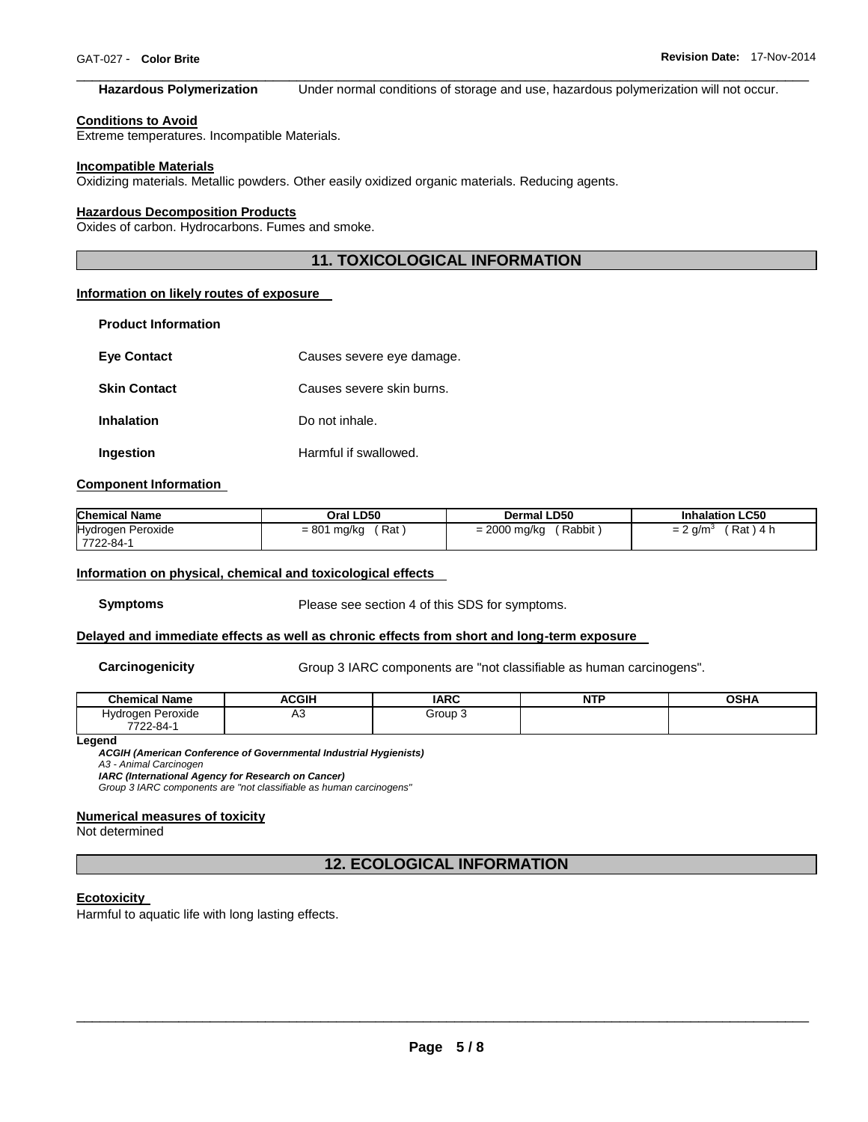#### \_\_\_\_\_\_\_\_\_\_\_\_\_\_\_\_\_\_\_\_\_\_\_\_\_\_\_\_\_\_\_\_\_\_\_\_\_\_\_\_\_\_\_\_\_\_\_\_\_\_\_\_\_\_\_\_\_\_\_\_\_\_\_\_\_\_\_\_\_\_\_\_\_\_\_\_\_\_\_\_\_\_\_\_\_\_\_\_\_\_\_\_\_ **Hazardous Polymerization** Under normal conditions of storage and use, hazardous polymerization will not occur.

#### **Conditions to Avoid**

Extreme temperatures. Incompatible Materials.

#### **Incompatible Materials**

Oxidizing materials. Metallic powders. Other easily oxidized organic materials. Reducing agents.

#### **Hazardous Decomposition Products**

Oxides of carbon. Hydrocarbons. Fumes and smoke.

# **11. TOXICOLOGICAL INFORMATION**

# **Information on likely routes of exposure**

| <b>Product Information</b> |                           |
|----------------------------|---------------------------|
| <b>Eve Contact</b>         | Causes severe eye damage. |
| <b>Skin Contact</b>        | Causes severe skin burns. |
| <b>Inhalation</b>          | Do not inhale.            |
| Ingestion                  | Harmful if swallowed.     |

# **Component Information**

| <b>Chemical Name</b>                  | Oral LD50            | <b>Dermal LD50</b>       | <b>Inhalation LC50</b>     |
|---------------------------------------|----------------------|--------------------------|----------------------------|
| <b>Hydrogen Peroxide</b><br>7722-84-1 | Rat<br>$= 801$ mg/kg | Rabbit<br>$= 2000$ mg/kg | Rat ) 4 h<br>? a/m°<br>$=$ |

#### **Information on physical, chemical and toxicological effects**

**Symptoms** Please see section 4 of this SDS for symptoms.

## **Delayed and immediate effects as well as chronic effects from short and long-term exposure**

**Carcinogenicity Group 3 IARC components are "not classifiable as human carcinogens".** 

| <b>Chemical Name</b> | <b>ACGIH</b> | <b>IARC</b> | <b>NTF</b> | <b>OSHA</b> |
|----------------------|--------------|-------------|------------|-------------|
| Hvdrogen Peroxide    | ΔΩ<br>่∼     | Group 3     |            |             |
| 7722-84-             |              |             |            |             |

**Legend** 

*ACGIH (American Conference of Governmental Industrial Hygienists) A3 - Animal Carcinogen* 

*IARC (International Agency for Research on Cancer)*

*Group 3 IARC components are "not classifiable as human carcinogens"* 

# **Numerical measures of toxicity**

Not determined

**12. ECOLOGICAL INFORMATION** 

#### **Ecotoxicity**

Harmful to aquatic life with long lasting effects.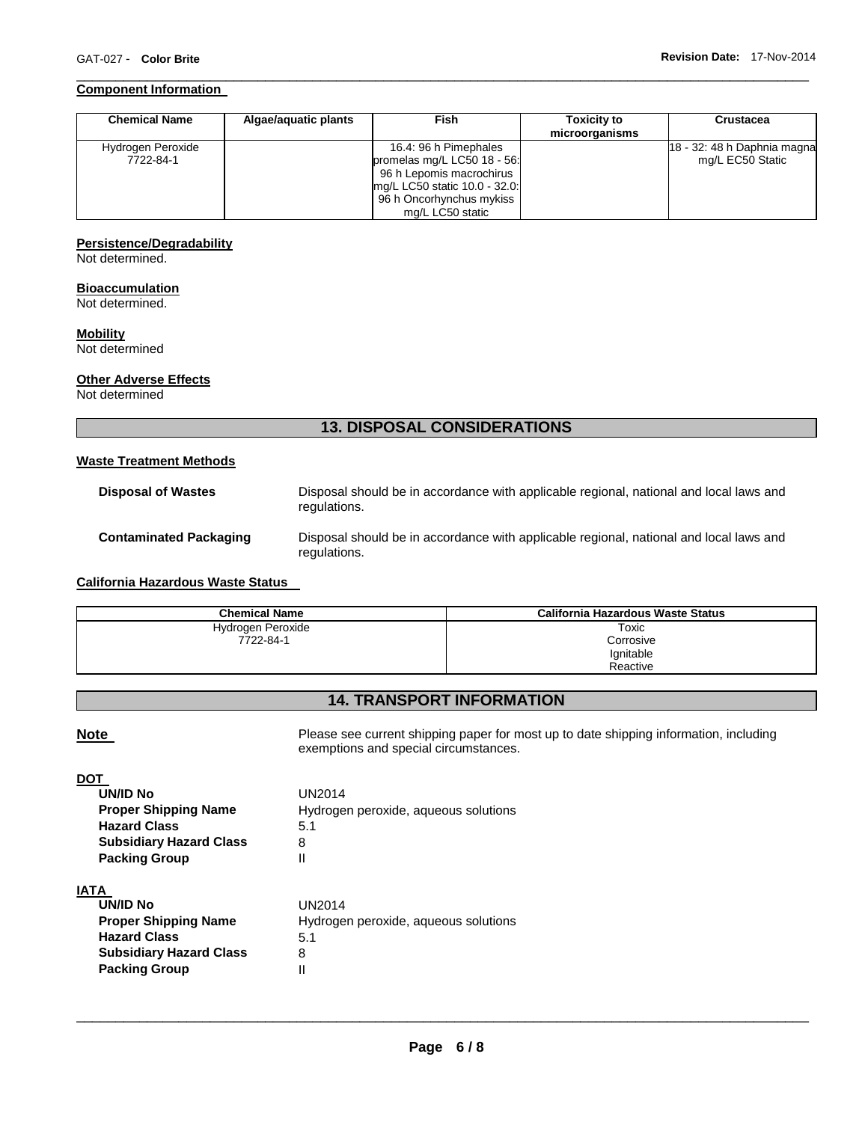# **Component Information**

| <b>Chemical Name</b> | Algae/aquatic plants | <b>Fish</b>                   | <b>Toxicity to</b><br>microorganisms | Crustacea                   |
|----------------------|----------------------|-------------------------------|--------------------------------------|-----------------------------|
| Hydrogen Peroxide    |                      | 16.4: 96 h Pimephales         |                                      | 18 - 32: 48 h Daphnia magna |
| 7722-84-1            |                      | promelas mg/L LC50 18 - 56:   |                                      | mg/L EC50 Static            |
|                      |                      | 96 h Lepomis macrochirus      |                                      |                             |
|                      |                      | mg/L LC50 static 10.0 - 32.0: |                                      |                             |
|                      |                      | 96 h Oncorhynchus mykiss      |                                      |                             |
|                      |                      | mg/L LC50 static              |                                      |                             |

\_\_\_\_\_\_\_\_\_\_\_\_\_\_\_\_\_\_\_\_\_\_\_\_\_\_\_\_\_\_\_\_\_\_\_\_\_\_\_\_\_\_\_\_\_\_\_\_\_\_\_\_\_\_\_\_\_\_\_\_\_\_\_\_\_\_\_\_\_\_\_\_\_\_\_\_\_\_\_\_\_\_\_\_\_\_\_\_\_\_\_\_\_

#### **Persistence/Degradability**

Not determined.

# **Bioaccumulation**

Not determined.

# **Mobility**

Not determined

# **Other Adverse Effects**

Not determined

# **13. DISPOSAL CONSIDERATIONS**

# **Waste Treatment Methods**

| <b>Disposal of Wastes</b>     | Disposal should be in accordance with applicable regional, national and local laws and<br>regulations. |
|-------------------------------|--------------------------------------------------------------------------------------------------------|
| <b>Contaminated Packaging</b> | Disposal should be in accordance with applicable regional, national and local laws and<br>regulations. |

# **California Hazardous Waste Status**

| <b>Chemical Name</b> | California Hazardous Waste Status |
|----------------------|-----------------------------------|
| Hydrogen Peroxide    | Toxic                             |
| 7722-84-1            | Corrosive                         |
|                      | Ignitable                         |
|                      | Reactive                          |

# **14. TRANSPORT INFORMATION**

**Note** Please see current shipping paper for most up to date shipping information, including exemptions and special circumstances.

| <b>UN/ID No</b>                | UN2014                               |
|--------------------------------|--------------------------------------|
| <b>Proper Shipping Name</b>    | Hydrogen peroxide, aqueous solutions |
| <b>Hazard Class</b>            | 5.1                                  |
| <b>Subsidiary Hazard Class</b> | 8                                    |
| <b>Packing Group</b>           | Ш                                    |
| IATA                           |                                      |
| <b>UN/ID No</b>                | UN2014                               |
| <b>Dronor Chinning Namo</b>    | Hydrogen persyide causeus selutions  |

| טווע שועוט                     | UNZUIT                               |
|--------------------------------|--------------------------------------|
| <b>Proper Shipping Name</b>    | Hydrogen peroxide, aqueous solutions |
| <b>Hazard Class</b>            | 5.1                                  |
| <b>Subsidiary Hazard Class</b> | 8                                    |
| <b>Packing Group</b>           |                                      |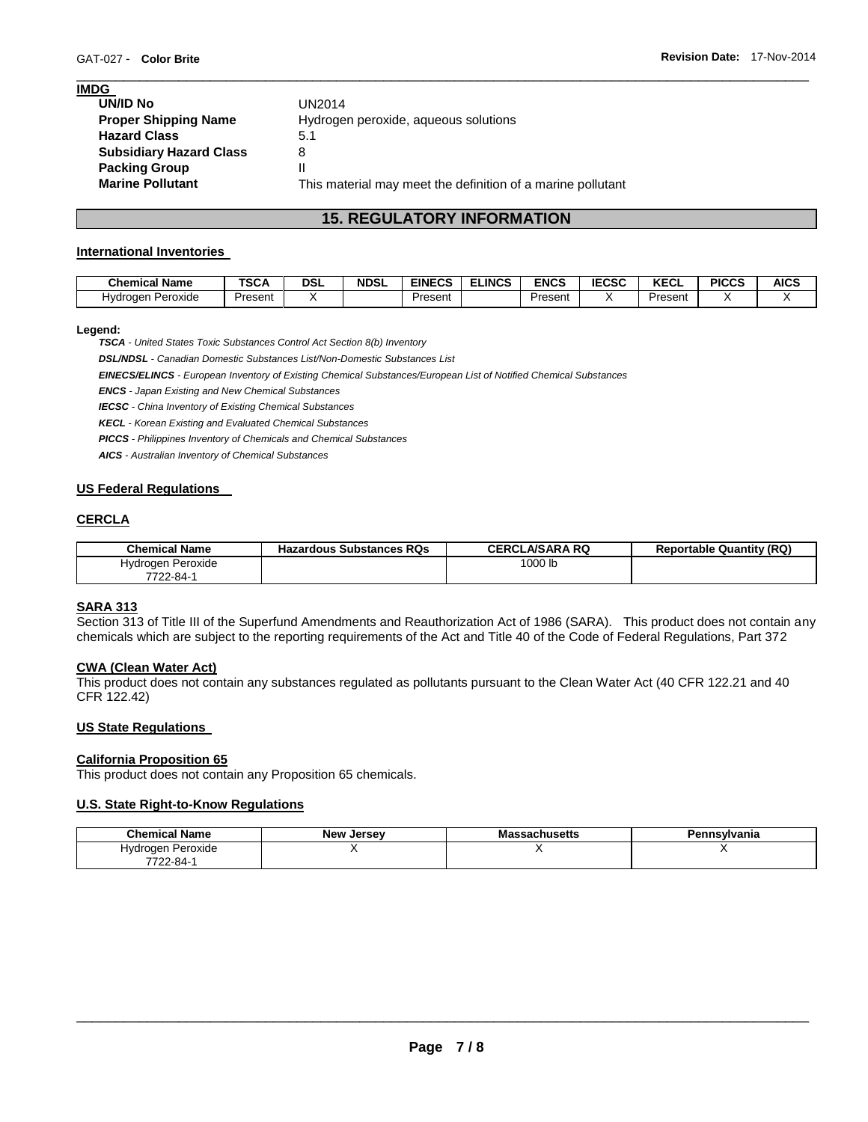| <b>IMDG</b>                    |                                                             |
|--------------------------------|-------------------------------------------------------------|
| UN/ID No                       | UN2014                                                      |
| <b>Proper Shipping Name</b>    | Hydrogen peroxide, aqueous solutions                        |
| <b>Hazard Class</b>            | 5.1                                                         |
| <b>Subsidiary Hazard Class</b> | 8                                                           |
| <b>Packing Group</b>           | Ш                                                           |
| <b>Marine Pollutant</b>        | This material may meet the definition of a marine pollutant |
|                                |                                                             |

# **15. REGULATORY INFORMATION**

\_\_\_\_\_\_\_\_\_\_\_\_\_\_\_\_\_\_\_\_\_\_\_\_\_\_\_\_\_\_\_\_\_\_\_\_\_\_\_\_\_\_\_\_\_\_\_\_\_\_\_\_\_\_\_\_\_\_\_\_\_\_\_\_\_\_\_\_\_\_\_\_\_\_\_\_\_\_\_\_\_\_\_\_\_\_\_\_\_\_\_\_\_

# **International Inventories**

| <b>Chemical Name</b> | TCA<br>ISCA | DSL | <b>NDSL</b> | <b>EINECS</b> | <b>ELINCS</b> | <b>ENCS</b> | <b>IECSC</b> | <b>IZEAL</b><br>KEC∟ | <b>PICCS</b> | <b>AICS</b> |
|----------------------|-------------|-----|-------------|---------------|---------------|-------------|--------------|----------------------|--------------|-------------|
| Peroxide<br>Hvdrogen | Present     |     |             | Present       |               | Present     |              | Present              |              |             |

# **Legend:**

*TSCA - United States Toxic Substances Control Act Section 8(b) Inventory* 

*DSL/NDSL - Canadian Domestic Substances List/Non-Domestic Substances List* 

*EINECS/ELINCS - European Inventory of Existing Chemical Substances/European List of Notified Chemical Substances* 

*ENCS - Japan Existing and New Chemical Substances* 

*IECSC - China Inventory of Existing Chemical Substances* 

*KECL - Korean Existing and Evaluated Chemical Substances* 

*PICCS - Philippines Inventory of Chemicals and Chemical Substances* 

*AICS - Australian Inventory of Chemical Substances* 

# **US Federal Regulations**

# **CERCLA**

| <b>Chemical Name</b> | <b>Hazardous Substances RQs</b> | <b>CERCLA/SARA RQ</b> | <b>Reportable Quantity (RQ)</b> |
|----------------------|---------------------------------|-----------------------|---------------------------------|
| Hydrogen Peroxide    |                                 | 1000 lb               |                                 |
| 7722-84-1            |                                 |                       |                                 |

# **SARA 313**

Section 313 of Title III of the Superfund Amendments and Reauthorization Act of 1986 (SARA). This product does not contain any chemicals which are subject to the reporting requirements of the Act and Title 40 of the Code of Federal Regulations, Part 372

# **CWA (Clean Water Act)**

This product does not contain any substances regulated as pollutants pursuant to the Clean Water Act (40 CFR 122.21 and 40 CFR 122.42)

# **US State Regulations**

# **California Proposition 65**

This product does not contain any Proposition 65 chemicals.

# **U.S. State Right-to-Know Regulations**

| <b>Chemical Name</b>  | <b>New Jersey</b> | Massachusetts | `nsvlvania |
|-----------------------|-------------------|---------------|------------|
| Peroxide<br>Hvdrogen. |                   |               |            |
| 7722-84-1             |                   |               |            |